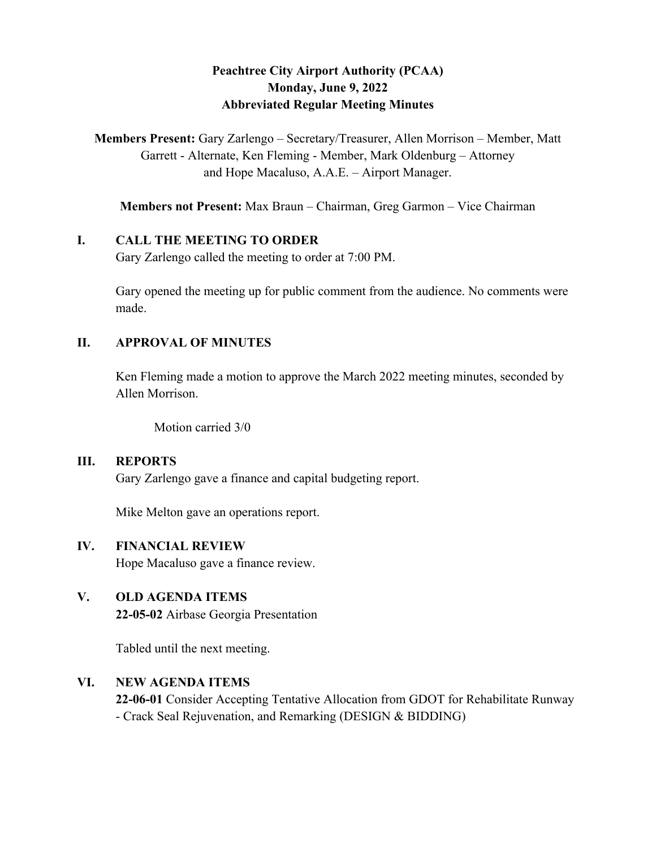# **Peachtree City Airport Authority (PCAA) Monday, June 9, 2022 Abbreviated Regular Meeting Minutes**

**Members Present:** Gary Zarlengo – Secretary/Treasurer, Allen Morrison – Member, Matt Garrett - Alternate, Ken Fleming - Member, Mark Oldenburg – Attorney and Hope Macaluso, A.A.E. – Airport Manager.

**Members not Present:** Max Braun – Chairman, Greg Garmon – Vice Chairman

#### **I. CALL THE MEETING TO ORDER**

Gary Zarlengo called the meeting to order at 7:00 PM.

Gary opened the meeting up for public comment from the audience. No comments were made.

#### **II. APPROVAL OF MINUTES**

Ken Fleming made a motion to approve the March 2022 meeting minutes, seconded by Allen Morrison.

Motion carried 3/0

#### **III. REPORTS**

Gary Zarlengo gave a finance and capital budgeting report.

Mike Melton gave an operations report.

### **IV. FINANCIAL REVIEW**

Hope Macaluso gave a finance review.

### **V. OLD AGENDA ITEMS**

**22-05-02** Airbase Georgia Presentation

Tabled until the next meeting.

### **VI. NEW AGENDA ITEMS**

**22-06-01** Consider Accepting Tentative Allocation from GDOT for Rehabilitate Runway - Crack Seal Rejuvenation, and Remarking (DESIGN & BIDDING)